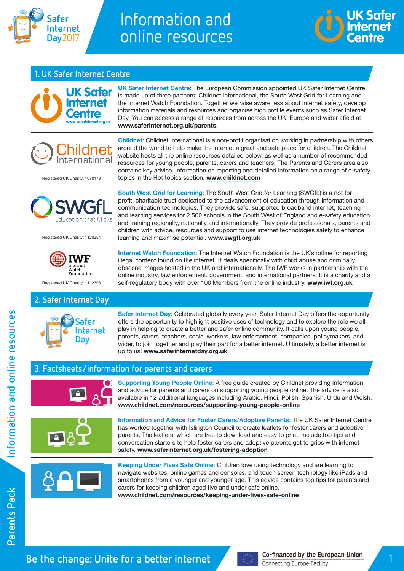

# Information and online resources

topics in the Hot topics section. **[www.childnet.com](http://www.childnet.com)**



## **1. UK Safer Internet Centre**



**UK Safer Internet Centre**: The European Commission appointed UK Safer Internet Centre is made up of three partners; Childnet International, the South West Grid for Learning and the Internet Watch Foundation. Together we raise awareness about internet safety, develop information materials and resources and organise high profile events such as Safer Internet Day. You can access a range of resources from across the UK, Europe and wider afield at **[www.saferinternet.org.uk/parents](http://www.saferinternet.org.uk/parents)**.

**Childnet**: Childnet International is a non-profit organisation working in partnership with others around the world to help make the internet a great and safe place for children. The Childnet website hosts all the online resources detailed below, as well as a number of recommended resources for young people, parents, carers and teachers. The Parents and Carers area also contains key advice, information on reporting and detailed information on a range of e-safety

Registered UK Charity: 1080173



Registered UK Charity: 1120354

**South West Grid for Learning**: The South West Grid for Learning (SWGfL) is a not for profit, charitable trust dedicated to the advancement of education through information and communication technologies. They provide safe, supported broadband internet, teaching and learning services for 2,500 schools in the South West of England and e-safety education and training regionally, nationally and internationally. They provide professionals, parents and children with advice, resources and support to use internet technologies safely to enhance learning and maximise potential. **[www.swgfl.org.uk](http://www.swgfl.org.uk)**

 $M<sub>1</sub>$ Foundation

Registered UK Charity: 1112398

## **2. Safer Internet Day**



**Internet Watch Foundation**: The Internet Watch Foundation is the UK'shotline for reporting illegal content found on the internet. It deals specifically with child abuse and criminally obscene images hosted in the UK and internationally. The IWF works in partnership with the online industry, law enforcement, government, and international partners. It is a charity and a self-regulatory body with over 100 Members from the online industry. **[www.iwf.org.uk](http://www.iwf.org.uk)**

**Safer Internet Day**: Celebrated globally every year, Safer Internet Day offers the opportunity offers the opportunity to highlight positive uses of technology and to explore the role we all play in helping to create a better and safer online community. It calls upon young people, parents, carers, teachers, social workers, law enforcement, companies, policymakers, and wider, to join together and play their part for a better internet. Ultimately, a better internet is up to us! **[www.saferinternetday.org.uk](http://www.saferinternetday.org.uk)**

### **3. Factsheets/information for parents and carers**



**Supporting Young People Online**: A free guide created by Childnet providing Information and advice for parents and carers on supporting young people online. The advice is also available in 12 additional languages including Arabic, Hindi, Polish, Spanish, Urdu and Welsh. **[www.childnet.com/resources/supporting-young-people-online](http://www.childnet.com/resources/supporting-young-people-online)**



**Information and Advice for Foster Carers/Adoptive Parents**: The UK Safer Internet Centre has worked together with Islington Council to create leaflets for foster carers and adoptive parents. The leaflets, which are free to download and easy to print, include top tips and conversation starters to help foster carers and adoptive parents get to grips with internet safety. **[www.saferinternet.org.uk/fostering-adoption](http://www.saferinternet.org.uk/fostering-adoption)**



**Keeping Under Fives Safe Online**: Children love using technology and are learning to navigate websites, online games and consoles, and touch screen technology like iPads and smartphones from a younger and younger age. This advice contains top tips for parents and carers for keeping children aged five and under safe online.

**[www.childnet.com/resources/keeping-under-fives-safe-online](http://www.childnet.com/resources/keeping-under-fives-safe-online)**

nformation and online resources